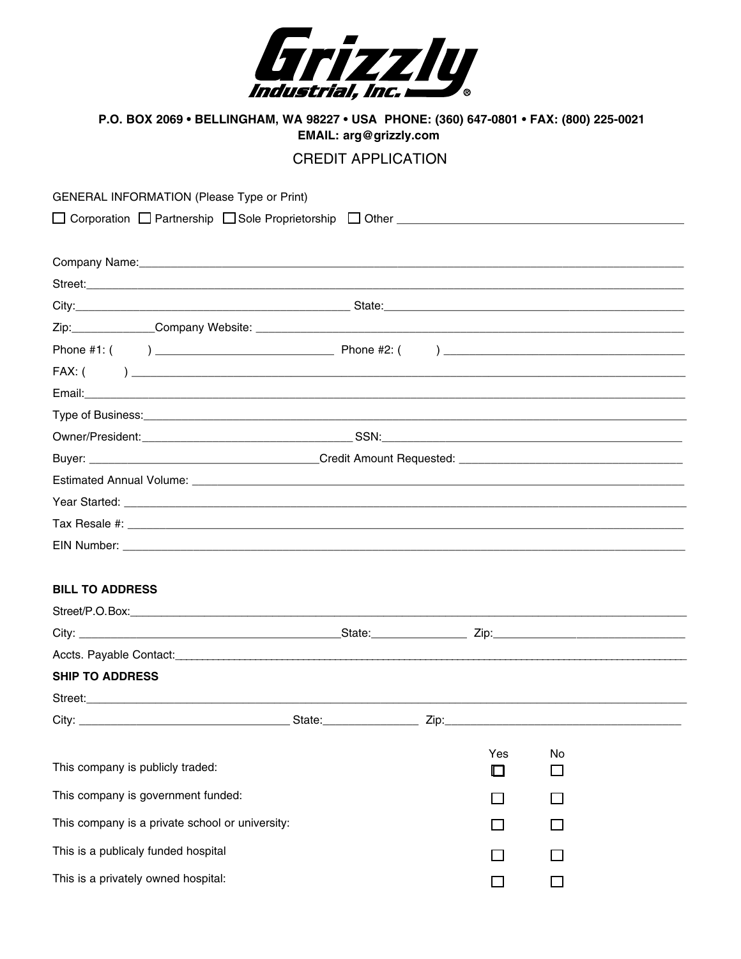

P.O. BOX 2069 • BELLINGHAM, WA 98227 • USA PHONE: (360) 647-0801 • FAX: (800) 225-0021 EMAIL: arg@grizzly.com

## **CREDIT APPLICATION**

| <b>GENERAL INFORMATION (Please Type or Print)</b> |  |     |    |  |
|---------------------------------------------------|--|-----|----|--|
|                                                   |  |     |    |  |
|                                                   |  |     |    |  |
|                                                   |  |     |    |  |
|                                                   |  |     |    |  |
|                                                   |  |     |    |  |
|                                                   |  |     |    |  |
|                                                   |  |     |    |  |
|                                                   |  |     |    |  |
|                                                   |  |     |    |  |
|                                                   |  |     |    |  |
|                                                   |  |     |    |  |
|                                                   |  |     |    |  |
|                                                   |  |     |    |  |
|                                                   |  |     |    |  |
|                                                   |  |     |    |  |
| <b>BILL TO ADDRESS</b>                            |  |     |    |  |
|                                                   |  |     |    |  |
|                                                   |  |     |    |  |
|                                                   |  |     |    |  |
| <b>SHIP TO ADDRESS</b>                            |  |     |    |  |
|                                                   |  |     |    |  |
|                                                   |  |     |    |  |
|                                                   |  |     |    |  |
| This company is publicly traded:                  |  | Yes | No |  |
| This company is government funded:                |  |     |    |  |
| This company is a private school or university:   |  |     |    |  |
| This is a publicaly funded hospital               |  |     |    |  |
| This is a privately owned hospital:               |  |     |    |  |